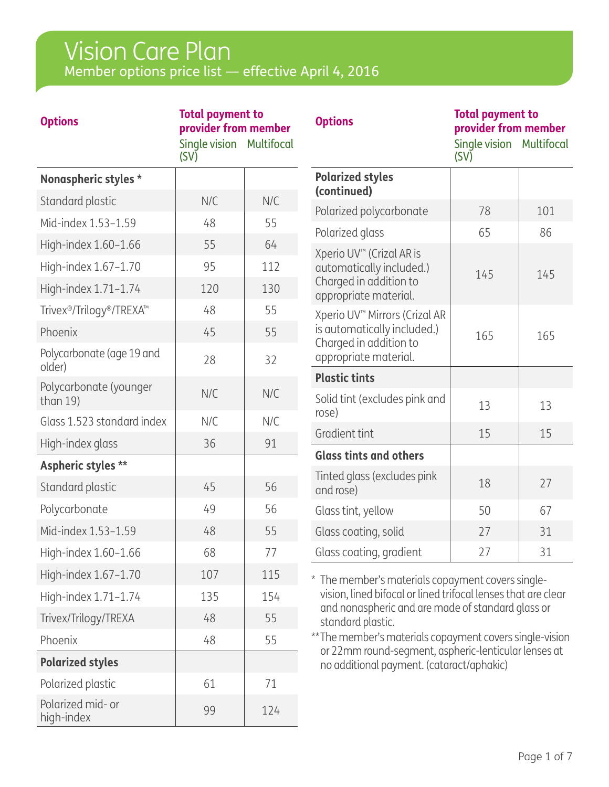## Member options price list — effective April 4, 2016 Vision Care Plan

| <b>Options</b>                                                | <b>Total payment to</b><br>provider from member<br>Single vision Multifocal<br>(SV) |     | <b>Options</b>                                                                                                                                                                                      | <b>Total payment to</b><br>provider from member<br>Single vision Multifocal<br>(SV) |     |
|---------------------------------------------------------------|-------------------------------------------------------------------------------------|-----|-----------------------------------------------------------------------------------------------------------------------------------------------------------------------------------------------------|-------------------------------------------------------------------------------------|-----|
| Nonaspheric styles *                                          |                                                                                     |     | <b>Polarized styles</b>                                                                                                                                                                             |                                                                                     |     |
| Standard plastic                                              | N/C                                                                                 | N/C | (continued)<br>Polarized polycarbonate                                                                                                                                                              | 78                                                                                  | 101 |
| Mid-index 1.53-1.59                                           | 48                                                                                  | 55  | Polarized glass                                                                                                                                                                                     | 65                                                                                  | 86  |
| High-index 1.60-1.66                                          | 55                                                                                  | 64  | Xperio UV™ (Crizal AR is                                                                                                                                                                            |                                                                                     |     |
| High-index 1.67-1.70                                          | 95                                                                                  | 112 | automatically included.)                                                                                                                                                                            | 145                                                                                 | 145 |
| High-index 1.71-1.74                                          | 120                                                                                 | 130 | Charged in addition to<br>appropriate material.                                                                                                                                                     |                                                                                     |     |
| Trivex <sup>®</sup> /Trilogy <sup>®</sup> /TREXA <sup>™</sup> | 48                                                                                  | 55  | Xperio UV <sup>™</sup> Mirrors (Crizal AR                                                                                                                                                           |                                                                                     |     |
| Phoenix                                                       | 45                                                                                  | 55  | is automatically included.)                                                                                                                                                                         | 165                                                                                 | 165 |
| Polycarbonate (age 19 and<br>older)                           | 28                                                                                  | 32  | Charged in addition to<br>appropriate material.                                                                                                                                                     |                                                                                     |     |
| Polycarbonate (younger                                        |                                                                                     |     | <b>Plastic tints</b>                                                                                                                                                                                |                                                                                     |     |
| than $19$ )                                                   | N/C                                                                                 | N/C | Solid tint (excludes pink and<br>rose)                                                                                                                                                              | 13                                                                                  | 13  |
| Glass 1.523 standard index                                    | N/C                                                                                 | N/C | Gradient tint                                                                                                                                                                                       | 15                                                                                  | 15  |
| High-index glass                                              | 36                                                                                  | 91  | <b>Glass tints and others</b>                                                                                                                                                                       |                                                                                     |     |
| Aspheric styles **                                            |                                                                                     |     | Tinted glass (excludes pink                                                                                                                                                                         |                                                                                     |     |
| Standard plastic                                              | 45                                                                                  | 56  | and rose)                                                                                                                                                                                           | 18                                                                                  | 27  |
| Polycarbonate                                                 | 49                                                                                  | 56  | Glass tint, yellow                                                                                                                                                                                  | 50                                                                                  | 67  |
| Mid-index 1.53-1.59                                           | 48                                                                                  | 55  | Glass coating, solid                                                                                                                                                                                | 27                                                                                  | 31  |
| High-index $1.60-1.66$                                        | 68                                                                                  | 77  | Glass coating, gradient                                                                                                                                                                             | 27                                                                                  | 31  |
| High-index 1.67-1.70                                          | 107                                                                                 | 115 | * The member's materials copayment covers single-                                                                                                                                                   |                                                                                     |     |
| High-index 1.71-1.74                                          | 135                                                                                 | 154 | vision, lined bifocal or lined trifocal lenses that are clear<br>and nonaspheric and are made of standard glass or<br>standard plastic.<br>** The member's materials copayment covers single-vision |                                                                                     |     |
| Trivex/Trilogy/TREXA                                          | 48                                                                                  | 55  |                                                                                                                                                                                                     |                                                                                     |     |
| Phoenix                                                       | 48                                                                                  | 55  |                                                                                                                                                                                                     |                                                                                     |     |
| <b>Polarized styles</b>                                       |                                                                                     |     | or 22mm round-segment, aspheric-lenticular lenses at<br>no additional payment. (cataract/aphakic)                                                                                                   |                                                                                     |     |
| Polarized plastic                                             | 61                                                                                  | 71  |                                                                                                                                                                                                     |                                                                                     |     |
| Polarized mid- or<br>high-index                               | 99                                                                                  | 124 |                                                                                                                                                                                                     |                                                                                     |     |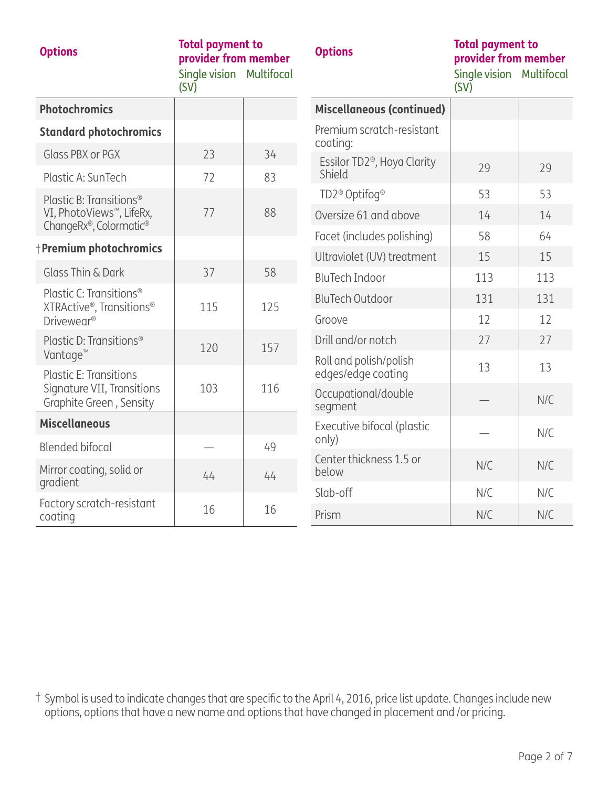|  | and the state of the state of the state of the state of the state of the state of the state of the state of th |  |  |
|--|----------------------------------------------------------------------------------------------------------------|--|--|
|  |                                                                                                                |  |  |
|  |                                                                                                                |  |  |

| <b>Options</b> | <b>Total payment to</b><br>provider from member |  |  |
|----------------|-------------------------------------------------|--|--|
|                | Single vision Multifocal                        |  |  |

(SV)

### **Options Total payment to provider from member**

Single vision Multifocal (SV)

| <b>Photochromics</b>                                            |     |     | <b>Miscellaneous (continued)</b>        |     |     |
|-----------------------------------------------------------------|-----|-----|-----------------------------------------|-----|-----|
| <b>Standard photochromics</b>                                   |     |     | Premium scratch-resistant<br>coating:   |     |     |
| Glass PBX or PGX                                                | 23  | 34  | Essilor TD2 <sup>®</sup> , Hoya Clarity |     |     |
| Plastic A: SunTech                                              | 72  | 83  | Shield                                  | 29  | 29  |
| Plastic B: Transitions <sup>®</sup>                             |     |     | TD2 <sup>®</sup> Optifoq <sup>®</sup>   | 53  | 53  |
| VI, PhotoViews <sup>™</sup> , LifeRx,<br>ChangeRx®, Colormatic® | 77  | 88  | Oversize 61 and above                   | 14  | 14  |
|                                                                 |     |     | Facet (includes polishing)              | 58  | 64  |
| <b>Premium photochromics</b>                                    |     |     | Ultraviolet (UV) treatment              | 15  | 15  |
| Glass Thin & Dark                                               | 37  | 58  | <b>BluTech Indoor</b>                   | 113 | 113 |
| Plastic C: Transitions <sup>®</sup><br>XTRActive®, Transitions® | 115 | 125 | <b>BluTech Outdoor</b>                  | 131 | 131 |
| Drivewear <sup>®</sup>                                          |     |     | Groove                                  | 12  | 12  |
| Plastic D: Transitions <sup>®</sup>                             | 120 | 157 | Drill and/or notch                      | 27  | 27  |
| Vantage <sup>™</sup>                                            |     |     | Roll and polish/polish                  | 13  | 13  |
| <b>Plastic E: Transitions</b><br>Signature VII, Transitions     | 103 | 116 | edges/edge coating                      |     |     |
| Graphite Green, Sensity                                         |     |     | Occupational/double<br>segment          |     | N/C |
| <b>Miscellaneous</b>                                            |     |     | Executive bifocal (plastic              |     | N/C |
| <b>Blended bifocal</b>                                          |     | 49  | only)                                   |     |     |
| Mirror coating, solid or<br>gradient                            | 44  | 44  | Center thickness 1.5 or<br>below        | N/C | N/C |
| Factory scratch-resistant                                       |     |     | Slab-off                                | N/C | N/C |
| coating                                                         | 16  | 16  | Prism                                   | N/C | N/C |

† Symbol is used to indicate changes that are specific to the April 4, 2016, price list update. Changes include new options, options that have a new name and options that have changed in placement and /or pricing.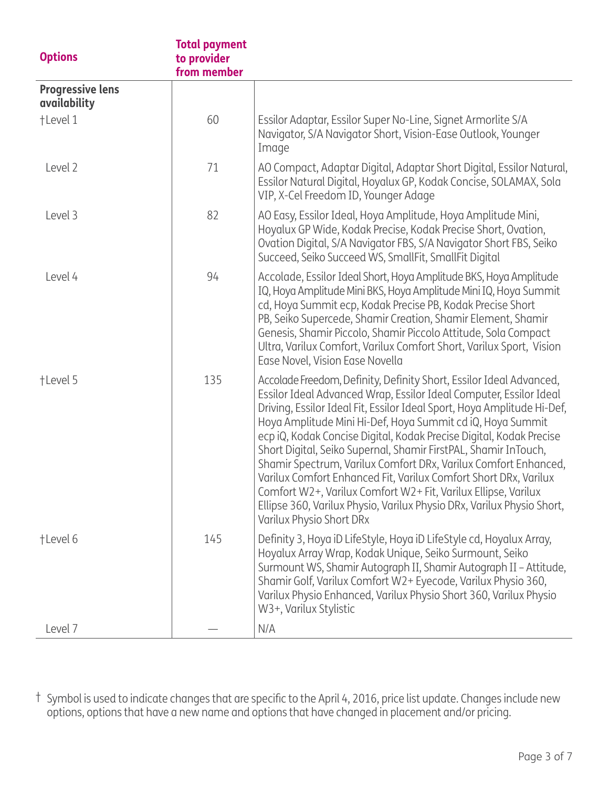| <b>Options</b>                          | <b>Total payment</b><br>to provider<br>from member |                                                                                                                                                                                                                                                                                                                                                                                                                                                                                                                                                                                                                                                                                                                                             |
|-----------------------------------------|----------------------------------------------------|---------------------------------------------------------------------------------------------------------------------------------------------------------------------------------------------------------------------------------------------------------------------------------------------------------------------------------------------------------------------------------------------------------------------------------------------------------------------------------------------------------------------------------------------------------------------------------------------------------------------------------------------------------------------------------------------------------------------------------------------|
| <b>Progressive lens</b><br>availability |                                                    |                                                                                                                                                                                                                                                                                                                                                                                                                                                                                                                                                                                                                                                                                                                                             |
| +Level 1                                | 60                                                 | Essilor Adaptar, Essilor Super No-Line, Signet Armorlite S/A<br>Navigator, S/A Navigator Short, Vision-Ease Outlook, Younger<br>Image                                                                                                                                                                                                                                                                                                                                                                                                                                                                                                                                                                                                       |
| Level 2                                 | 71                                                 | AO Compact, Adaptar Digital, Adaptar Short Digital, Essilor Natural,<br>Essilor Natural Digital, Hoyalux GP, Kodak Concise, SOLAMAX, Sola<br>VIP, X-Cel Freedom ID, Younger Adage                                                                                                                                                                                                                                                                                                                                                                                                                                                                                                                                                           |
| Level 3                                 | 82                                                 | AO Easy, Essilor Ideal, Hoya Amplitude, Hoya Amplitude Mini,<br>Hoyalux GP Wide, Kodak Precise, Kodak Precise Short, Ovation,<br>Ovation Digital, S/A Navigator FBS, S/A Navigator Short FBS, Seiko<br>Succeed, Seiko Succeed WS, SmallFit, SmallFit Digital                                                                                                                                                                                                                                                                                                                                                                                                                                                                                |
| Level 4                                 | 94                                                 | Accolade, Essilor Ideal Short, Hoya Amplitude BKS, Hoya Amplitude<br>IQ, Hoya Amplitude Mini BKS, Hoya Amplitude Mini IQ, Hoya Summit<br>cd, Hoya Summit ecp, Kodak Precise PB, Kodak Precise Short<br>PB, Seiko Supercede, Shamir Creation, Shamir Element, Shamir<br>Genesis, Shamir Piccolo, Shamir Piccolo Attitude, Sola Compact<br>Ultra, Varilux Comfort, Varilux Comfort Short, Varilux Sport, Vision<br>Ease Novel, Vision Ease Novella                                                                                                                                                                                                                                                                                            |
| +Level 5                                | 135                                                | Accolade Freedom, Definity, Definity Short, Essilor Ideal Advanced,<br>Essilor Ideal Advanced Wrap, Essilor Ideal Computer, Essilor Ideal<br>Driving, Essilor Ideal Fit, Essilor Ideal Sport, Hoya Amplitude Hi-Def,<br>Hoya Amplitude Mini Hi-Def, Hoya Summit cd iQ, Hoya Summit<br>ecp iQ, Kodak Concise Digital, Kodak Precise Digital, Kodak Precise<br>Short Digital, Seiko Supernal, Shamir FirstPAL, Shamir InTouch,<br>Shamir Spectrum, Varilux Comfort DRx, Varilux Comfort Enhanced,<br>Varilux Comfort Enhanced Fit, Varilux Comfort Short DRx, Varilux<br>Comfort W2+, Varilux Comfort W2+ Fit, Varilux Ellipse, Varilux<br>Ellipse 360, Varilux Physio, Varilux Physio DRx, Varilux Physio Short,<br>Varilux Physio Short DRx |
| +Level 6                                | 145                                                | Definity 3, Hoya iD LifeStyle, Hoya iD LifeStyle cd, Hoyalux Array,<br>Hoyalux Array Wrap, Kodak Unique, Seiko Surmount, Seiko<br>Surmount WS, Shamir Autograph II, Shamir Autograph II - Attitude,<br>Shamir Golf, Varilux Comfort W2+ Eyecode, Varilux Physio 360,<br>Varilux Physio Enhanced, Varilux Physio Short 360, Varilux Physio<br>W3+, Varilux Stylistic                                                                                                                                                                                                                                                                                                                                                                         |
| Level 7                                 |                                                    | N/A                                                                                                                                                                                                                                                                                                                                                                                                                                                                                                                                                                                                                                                                                                                                         |

† Symbol is used to indicate changes that are specific to the April 4, 2016, price list update. Changes include new options, options that have a new name and options that have changed in placement and/or pricing.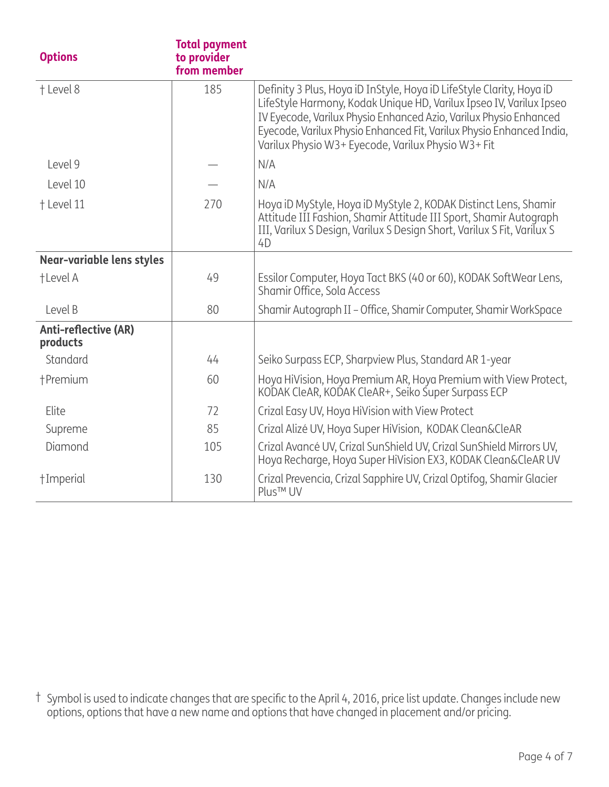| <b>Options</b>                          | <b>Total payment</b><br>to provider<br>from member |                                                                                                                                                                                                                                                                                                                                                |
|-----------------------------------------|----------------------------------------------------|------------------------------------------------------------------------------------------------------------------------------------------------------------------------------------------------------------------------------------------------------------------------------------------------------------------------------------------------|
| + Level 8                               | 185                                                | Definity 3 Plus, Hoya iD InStyle, Hoya iD LifeStyle Clarity, Hoya iD<br>LifeStyle Harmony, Kodak Unique HD, Varilux Ipseo IV, Varilux Ipseo<br>IV Eyecode, Varilux Physio Enhanced Azio, Varilux Physio Enhanced<br>Eyecode, Varilux Physio Enhanced Fit, Varilux Physio Enhanced India,<br>Varilux Physio W3+ Eyecode, Varilux Physio W3+ Fit |
| Level 9                                 |                                                    | N/A                                                                                                                                                                                                                                                                                                                                            |
| Level 10                                |                                                    | N/A                                                                                                                                                                                                                                                                                                                                            |
| + Level 11                              | 270                                                | Hoya iD MyStyle, Hoya iD MyStyle 2, KODAK Distinct Lens, Shamir<br>Attitude III Fashion, Shamir Attitude III Sport, Shamir Autograph<br>III, Varilux S Design, Varilux S Design Short, Varilux S Fit, Varilux S<br>4D                                                                                                                          |
| Near-variable lens styles               |                                                    |                                                                                                                                                                                                                                                                                                                                                |
| +Level A                                | 49                                                 | Essilor Computer, Hoya Tact BKS (40 or 60), KODAK SoftWear Lens,<br>Shamir Office, Sola Access                                                                                                                                                                                                                                                 |
| Level B                                 | 80                                                 | Shamir Autograph II - Office, Shamir Computer, Shamir WorkSpace                                                                                                                                                                                                                                                                                |
| <b>Anti-reflective (AR)</b><br>products |                                                    |                                                                                                                                                                                                                                                                                                                                                |
| Standard                                | 44                                                 | Seiko Surpass ECP, Sharpview Plus, Standard AR 1-year                                                                                                                                                                                                                                                                                          |
| +Premium                                | 60                                                 | Hoya HiVision, Hoya Premium AR, Hoya Premium with View Protect,<br>KODAK CleAR, KODAK CleAR+, Seiko Super Surpass ECP                                                                                                                                                                                                                          |
| Elite                                   | 72                                                 | Crizal Easy UV, Hoya HiVision with View Protect                                                                                                                                                                                                                                                                                                |
| Supreme                                 | 85                                                 | Crizal Alizé UV, Hoya Super HiVision, KODAK Clean&CleAR                                                                                                                                                                                                                                                                                        |
| Diamond                                 | 105                                                | Crizal Avancé UV, Crizal SunShield UV, Crizal SunShield Mirrors UV,<br>Hoya Recharge, Hoya Super HiVision EX3, KODAK Clean&CleAR UV                                                                                                                                                                                                            |
| †Imperial                               | 130                                                | Crizal Prevencia, Crizal Sapphire UV, Crizal Optifog, Shamir Glacier<br>Plus <sup>™</sup> UV                                                                                                                                                                                                                                                   |

† Symbol is used to indicate changes that are specific to the April 4, 2016, price list update. Changes include new options, options that have a new name and options that have changed in placement and/or pricing.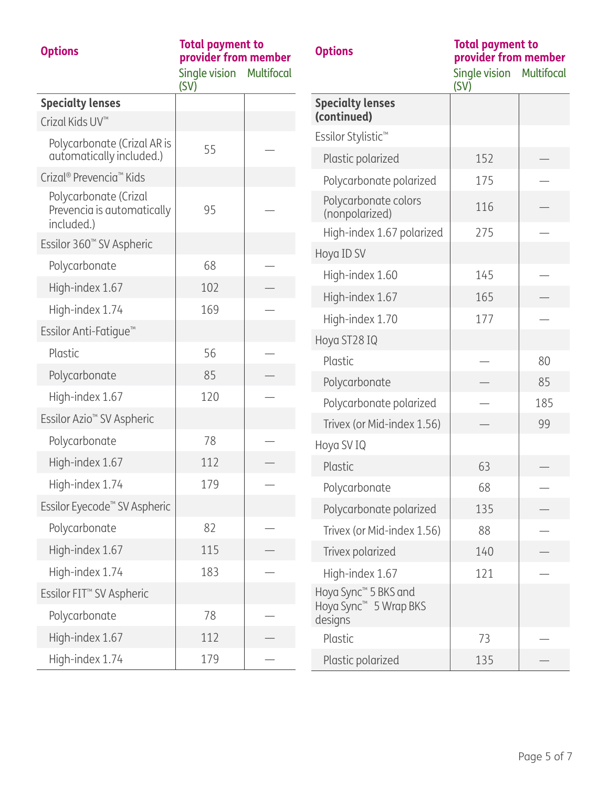## **Options Total payment to provider from member**

Multifocal

Single vision

**Options Total payment to provider from member**

Single vision (SV) Multifocal

|                                                                   | (SV) |                                          |
|-------------------------------------------------------------------|------|------------------------------------------|
| <b>Specialty lenses</b>                                           |      | <b>Specialty lenses</b><br>(continued)   |
| Crizal Kids UV <sup>™</sup>                                       |      | Essilor Stylistic <sup>™</sup>           |
| Polycarbonate (Crizal AR is<br>automatically included.)           | 55   | Plastic polarized                        |
| Crizal <sup>®</sup> Prevencia <sup>™</sup> Kids                   |      | Polycarbonate po                         |
| Polycarbonate (Crizal<br>Prevencia is automatically<br>included.) | 95   | Polycarbonate col<br>(nonpolarized)      |
| Essilor 360 <sup>™</sup> SV Aspheric                              |      | High-index 1.67 p                        |
|                                                                   | 68   | Hoya ID SV                               |
| Polycarbonate                                                     |      | High-index 1.60                          |
| High-index 1.67                                                   | 102  | High-index 1.67                          |
| High-index 1.74                                                   | 169  | High-index 1.70                          |
| Essilor Anti-Fatique <sup>™</sup>                                 |      | Hoya ST28 IQ                             |
| Plastic                                                           | 56   | Plastic                                  |
| Polycarbonate                                                     | 85   | Polycarbonate                            |
| High-index 1.67                                                   | 120  | Polycarbonate po                         |
| Essilor Azio <sup>™</sup> SV Aspheric                             |      | Trivex (or Mid-inde                      |
| Polycarbonate                                                     | 78   | Hoya SV IQ                               |
| High-index 1.67                                                   | 112  | Plastic                                  |
| High-index 1.74                                                   | 179  | Polycarbonate                            |
| Essilor Eyecode <sup>™</sup> SV Aspheric                          |      | Polycarbonate po                         |
| Polycarbonate                                                     | 82   | Trivex (or Mid-inde                      |
| High-index 1.67                                                   | 115  | Trivex polarized                         |
| High-index 1.74                                                   | 183  | High-index 1.67                          |
| Essilor FIT <sup>™</sup> SV Aspheric                              |      | Hoya Sync™ 5 BKS ar                      |
| Polycarbonate                                                     | 78   | Hoya Sync <sup>™</sup> 5 Wrap<br>designs |
| High-index 1.67                                                   | 112  | Plastic                                  |
| High-index 1.74                                                   | 179  | Plastic polarized                        |

| 152 |     |
|-----|-----|
| 175 |     |
| 116 |     |
| 275 |     |
|     |     |
| 145 |     |
| 165 |     |
| 177 |     |
|     |     |
|     | 80  |
|     | 85  |
|     | 185 |
|     | 99  |
|     |     |
| 63  |     |
| 68  |     |
| 135 |     |
| 88  |     |
| 140 |     |
| 121 |     |
|     |     |
| 73  |     |
| 135 |     |
|     |     |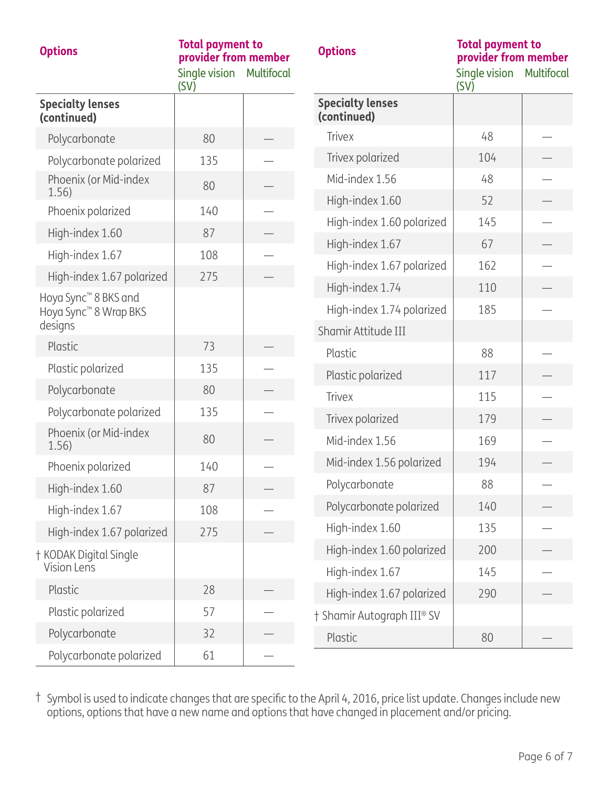| <b>Options</b>                                                        | <b>Total payment to</b><br>provider from member<br>Single vision<br>(SV) | <b>Multifocal</b> | <b>Options</b>                               | <b>Total payment to</b><br>provider from member<br>Single vision<br>(SV) | <b>Multifocal</b> |
|-----------------------------------------------------------------------|--------------------------------------------------------------------------|-------------------|----------------------------------------------|--------------------------------------------------------------------------|-------------------|
| <b>Specialty lenses</b><br>(continued)                                |                                                                          |                   | <b>Specialty lenses</b><br>(continued)       |                                                                          |                   |
| Polycarbonate                                                         | 80                                                                       |                   | <b>Trivex</b>                                | 48                                                                       |                   |
| Polycarbonate polarized                                               | 135                                                                      |                   | Trivex polarized                             | 104                                                                      |                   |
| Phoenix (or Mid-index<br>1.56)                                        | 80                                                                       |                   | Mid-index 1.56                               | 48                                                                       |                   |
| Phoenix polarized                                                     | 140                                                                      |                   | High-index 1.60                              | 52                                                                       |                   |
| High-index 1.60                                                       | 87                                                                       |                   | High-index 1.60 polarized                    | 145                                                                      |                   |
| High-index 1.67                                                       | 108                                                                      |                   | High-index 1.67                              | 67                                                                       |                   |
| High-index 1.67 polarized                                             | 275                                                                      |                   | High-index 1.67 polarized                    | 162                                                                      |                   |
| Hoya Sync <sup>™</sup> 8 BKS and<br>Hoya Sync <sup>™</sup> 8 Wrap BKS |                                                                          |                   | High-index 1.74<br>High-index 1.74 polarized | 110<br>185                                                               |                   |
| designs                                                               |                                                                          |                   | Shamir Attitude III                          |                                                                          |                   |
| Plastic                                                               | 73                                                                       |                   | Plastic                                      | 88                                                                       |                   |
| Plastic polarized                                                     | 135                                                                      |                   | Plastic polarized                            | 117                                                                      |                   |
| Polycarbonate                                                         | 80                                                                       |                   | <b>Trivex</b>                                | 115                                                                      |                   |
| Polycarbonate polarized                                               | 135                                                                      |                   | Trivex polarized                             | 179                                                                      |                   |
| Phoenix (or Mid-index<br>1.56)                                        | 80                                                                       |                   | Mid-index 1.56                               | 169                                                                      |                   |
| Phoenix polarized                                                     | 140                                                                      |                   | Mid-index 1.56 polarized                     | 194                                                                      |                   |
| High-index 1.60                                                       | 87                                                                       |                   | Polycarbonate                                | 88                                                                       |                   |
| High-index 1.67                                                       | 108                                                                      |                   | Polycarbonate polarized                      | 140                                                                      |                   |
| High-index 1.67 polarized                                             | 275                                                                      |                   | High-index 1.60                              | 135                                                                      |                   |
| † KODAK Digital Single<br>Vision Lens                                 |                                                                          |                   | High-index 1.60 polarized<br>High-index 1.67 | 200<br>145                                                               |                   |
| Plastic                                                               | 28                                                                       |                   | High-index 1.67 polarized                    | 290                                                                      |                   |
| Plastic polarized                                                     | 57                                                                       |                   | † Shamir Autograph III® SV                   |                                                                          |                   |
| Polycarbonate                                                         | 32                                                                       |                   | Plastic                                      | 80                                                                       |                   |
| Polycarbonate polarized                                               | 61                                                                       |                   |                                              |                                                                          |                   |

† Symbol is used to indicate changes that are specific to the April 4, 2016, price list update. Changes include new options, options that have a new name and options that have changed in placement and/or pricing.